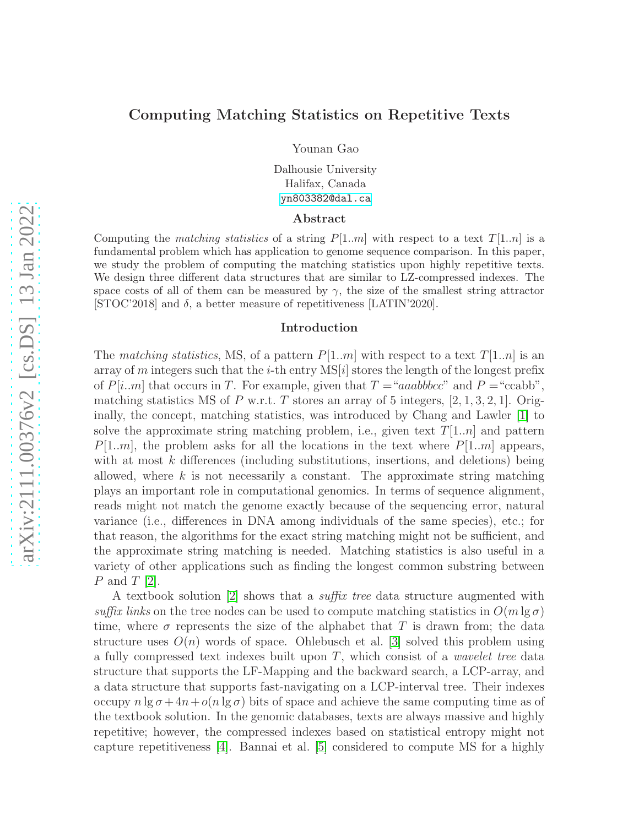# Computing Matching Statistics on Repetitive Texts

Younan Gao

Dalhousie University Halifax, Canada <yn803382@dal.ca>

#### Abstract

Computing the *matching statistics* of a string  $P[1..m]$  with respect to a text  $T[1..n]$  is a fundamental problem which has application to genome sequence comparison. In this paper, we study the problem of computing the matching statistics upon highly repetitive texts. We design three different data structures that are similar to LZ-compressed indexes. The space costs of all of them can be measured by  $\gamma$ , the size of the smallest string attractor [STOC'2018] and  $\delta$ , a better measure of repetitiveness [LATIN'2020].

### Introduction

The matching statistics, MS, of a pattern  $P[1..m]$  with respect to a text  $T[1..n]$  is an array of m integers such that the *i*-th entry  $MS[i]$  stores the length of the longest prefix of  $P[i..m]$  that occurs in T. For example, given that  $T = "aaabbbcc"$  and  $P = "ccabb"$ , matching statistics MS of P w.r.t. T stores an array of 5 integers,  $[2, 1, 3, 2, 1]$ . Originally, the concept, matching statistics, was introduced by Chang and Lawler [\[1\]](#page-12-0) to solve the approximate string matching problem, i.e., given text  $T[1..n]$  and pattern  $P[1..m]$ , the problem asks for all the locations in the text where  $P[1..m]$  appears, with at most  $k$  differences (including substitutions, insertions, and deletions) being allowed, where  $k$  is not necessarily a constant. The approximate string matching plays an important role in computational genomics. In terms of sequence alignment, reads might not match the genome exactly because of the sequencing error, natural variance (i.e., differences in DNA among individuals of the same species), etc.; for that reason, the algorithms for the exact string matching might not be sufficient, and the approximate string matching is needed. Matching statistics is also useful in a variety of other applications such as finding the longest common substring between  $P$  and  $T$  [\[2\]](#page-12-1).

A textbook solution [\[2\]](#page-12-1) shows that a suffix tree data structure augmented with suffix links on the tree nodes can be used to compute matching statistics in  $O(m \lg \sigma)$ time, where  $\sigma$  represents the size of the alphabet that T is drawn from; the data structure uses  $O(n)$  words of space. Ohlebusch et al. [\[3\]](#page-12-2) solved this problem using a fully compressed text indexes built upon  $T$ , which consist of a *wavelet tree* data structure that supports the LF-Mapping and the backward search, a LCP-array, and a data structure that supports fast-navigating on a LCP-interval tree. Their indexes occupy  $n \lg \sigma + 4n + o(n \lg \sigma)$  bits of space and achieve the same computing time as of the textbook solution. In the genomic databases, texts are always massive and highly repetitive; however, the compressed indexes based on statistical entropy might not capture repetitiveness [\[4\]](#page-12-3). Bannai et al. [\[5\]](#page-12-4) considered to compute MS for a highly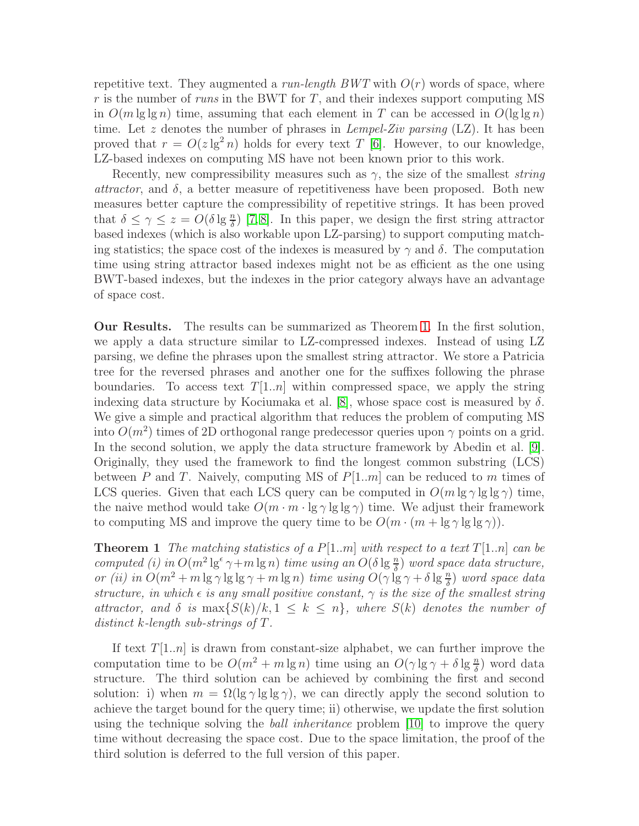repetitive text. They augmented a *run-length BWT* with  $O(r)$  words of space, where r is the number of runs in the BWT for T, and their indexes support computing MS in  $O(m \lg \lg n)$  time, assuming that each element in T can be accessed in  $O(\lg \lg n)$ time. Let z denotes the number of phrases in *Lempel-Ziv parsing* (LZ). It has been proved that  $r = O(z \lg^2 n)$  holds for every text T [\[6\]](#page-12-5). However, to our knowledge, LZ-based indexes on computing MS have not been known prior to this work.

Recently, new compressibility measures such as  $\gamma$ , the size of the smallest *string attractor*, and  $\delta$ , a better measure of repetitiveness have been proposed. Both new measures better capture the compressibility of repetitive strings. It has been proved that  $\delta \leq \gamma \leq z = O(\delta \lg \frac{n}{\delta})$  [\[7,](#page-12-6)8]. In this paper, we design the first string attractor based indexes (which is also workable upon LZ-parsing) to support computing matching statistics; the space cost of the indexes is measured by  $\gamma$  and  $\delta$ . The computation time using string attractor based indexes might not be as efficient as the one using BWT-based indexes, but the indexes in the prior category always have an advantage of space cost.

Our Results. The results can be summarized as Theorem [1.](#page-1-0) In the first solution, we apply a data structure similar to LZ-compressed indexes. Instead of using LZ parsing, we define the phrases upon the smallest string attractor. We store a Patricia tree for the reversed phrases and another one for the suffixes following the phrase boundaries. To access text  $T[1..n]$  within compressed space, we apply the string indexing data structure by Kociumaka et al. [\[8\]](#page-12-7), whose space cost is measured by  $\delta$ . We give a simple and practical algorithm that reduces the problem of computing MS into  $O(m^2)$  times of 2D orthogonal range predecessor queries upon  $\gamma$  points on a grid. In the second solution, we apply the data structure framework by Abedin et al. [\[9\]](#page-12-8). Originally, they used the framework to find the longest common substring (LCS) between P and T. Naively, computing MS of  $P[1..m]$  can be reduced to m times of LCS queries. Given that each LCS query can be computed in  $O(m \lg \gamma \lg \lg \gamma)$  time, the naive method would take  $O(m \cdot m \cdot \lg \gamma \lg \lg \gamma)$  time. We adjust their framework to computing MS and improve the query time to be  $O(m \cdot (m + \lg \gamma) \lg \lg \gamma)$ .

<span id="page-1-0"></span>**Theorem 1** The matching statistics of a  $P[1..m]$  with respect to a text  $T[1..n]$  can be computed (i) in  $O(m^2 \lg^{\epsilon} \gamma + m \lg n)$  time using an  $O(\delta \lg \frac{n}{\delta})$  word space data structure, or (ii) in  $O(m^2 + m \lg \gamma \lg \lg \gamma + m \lg n)$  time using  $O(\gamma \lg \gamma + \delta \lg \frac{n}{\delta})$  word space data structure, in which  $\epsilon$  is any small positive constant,  $\gamma$  is the size of the smallest string attractor, and  $\delta$  is  $\max\{S(k)/k, 1 \leq k \leq n\}$ , where  $S(k)$  denotes the number of distinct k-length sub-strings of T.

If text  $T[1..n]$  is drawn from constant-size alphabet, we can further improve the computation time to be  $O(m^2 + m \lg n)$  time using an  $O(\gamma \lg \gamma + \delta \lg \frac{n}{\delta})$  word data structure. The third solution can be achieved by combining the first and second solution: i) when  $m = \Omega(\lg \gamma \lg \lg \gamma)$ , we can directly apply the second solution to achieve the target bound for the query time; ii) otherwise, we update the first solution using the technique solving the *ball inheritance* problem [\[10\]](#page-13-0) to improve the query time without decreasing the space cost. Due to the space limitation, the proof of the third solution is deferred to the full version of this paper.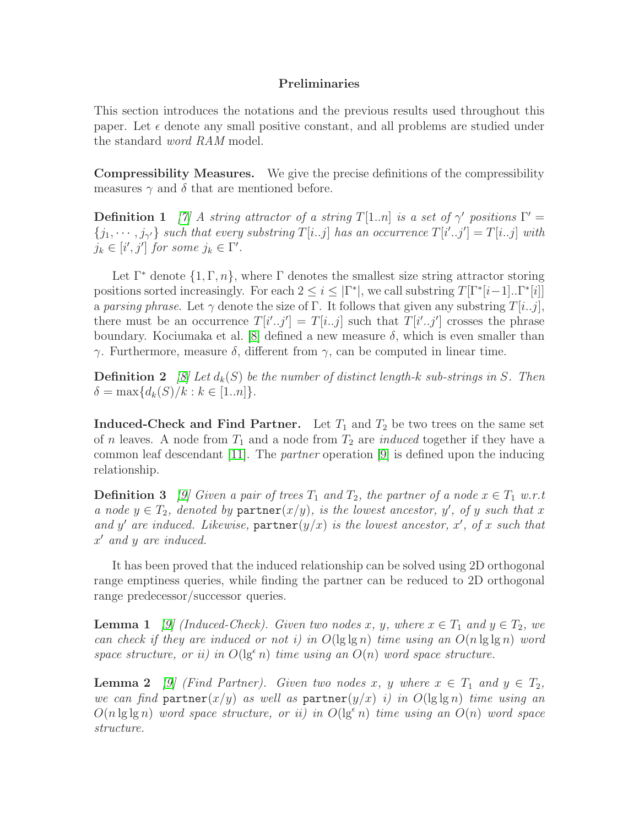## Preliminaries

This section introduces the notations and the previous results used throughout this paper. Let  $\epsilon$  denote any small positive constant, and all problems are studied under the standard word RAM model.

Compressibility Measures. We give the precise definitions of the compressibility measures  $\gamma$  and  $\delta$  that are mentioned before.

**Definition 1** [\[7\]](#page-12-6) A string attractor of a string  $T[1..n]$  is a set of  $\gamma'$  positions  $\Gamma' =$  $\{j_1, \dots, j_{\gamma'}\}$  such that every substring  $T[i..j]$  has an occurrence  $T[i'..j'] = T[i..j]$  with  $j_k \in [i', j']$  for some  $j_k \in \Gamma'.$ 

Let  $\Gamma^*$  denote  $\{1, \Gamma, n\}$ , where  $\Gamma$  denotes the smallest size string attractor storing positions sorted increasingly. For each  $2 \leq i \leq |\Gamma^*|$ , we call substring  $T[\Gamma^*[i-1]..\Gamma^*[i]]$ a parsing phrase. Let  $\gamma$  denote the size of Γ. It follows that given any substring  $T[i..j]$ , there must be an occurrence  $T[i'..j'] = T[i..j]$  such that  $T[i'..j']$  crosses the phrase boundary. Kociumaka et al. [\[8\]](#page-12-7) defined a new measure  $\delta$ , which is even smaller than γ. Furthermore, measure δ, different from γ, can be computed in linear time.

**Definition 2** [\[8\]](#page-12-7) Let  $d_k(S)$  be the number of distinct length-k sub-strings in S. Then  $\delta = \max\{d_k(S)/k : k \in [1..n]\}.$ 

**Induced-Check and Find Partner.** Let  $T_1$  and  $T_2$  be two trees on the same set of *n* leaves. A node from  $T_1$  and a node from  $T_2$  are *induced* together if they have a common leaf descendant [\[11\]](#page-13-1). The *partner* operation [\[9\]](#page-12-8) is defined upon the inducing relationship.

**Definition 3** [\[9\]](#page-12-8) Given a pair of trees  $T_1$  and  $T_2$ , the partner of a node  $x \in T_1$  w.r.t a node  $y \in T_2$ , denoted by partner $(x/y)$ , is the lowest ancestor, y', of y such that x and y' are induced. Likewise,  $\texttt{partner}(y/x)$  is the lowest ancestor, x', of x such that x ′ and y are induced.

It has been proved that the induced relationship can be solved using 2D orthogonal range emptiness queries, while finding the partner can be reduced to 2D orthogonal range predecessor/successor queries.

<span id="page-2-0"></span>**Lemma 1** [\[9\]](#page-12-8) (Induced-Check). Given two nodes x, y, where  $x \in T_1$  and  $y \in T_2$ , we can check if they are induced or not i) in  $O(\lg \lg n)$  time using an  $O(n \lg \lg n)$  word space structure, or ii) in  $O(\lg^{\epsilon} n)$  time using an  $O(n)$  word space structure.

<span id="page-2-1"></span>**Lemma 2** [\[9\]](#page-12-8) (Find Partner). Given two nodes x, y where  $x \in T_1$  and  $y \in T_2$ , we can find partner $(x/y)$  as well as partner $(y/x)$  i) in  $O(\lg \lg n)$  time using an  $O(n \lg \lg n)$  word space structure, or ii) in  $O(\lg^{\epsilon} n)$  time using an  $O(n)$  word space structure.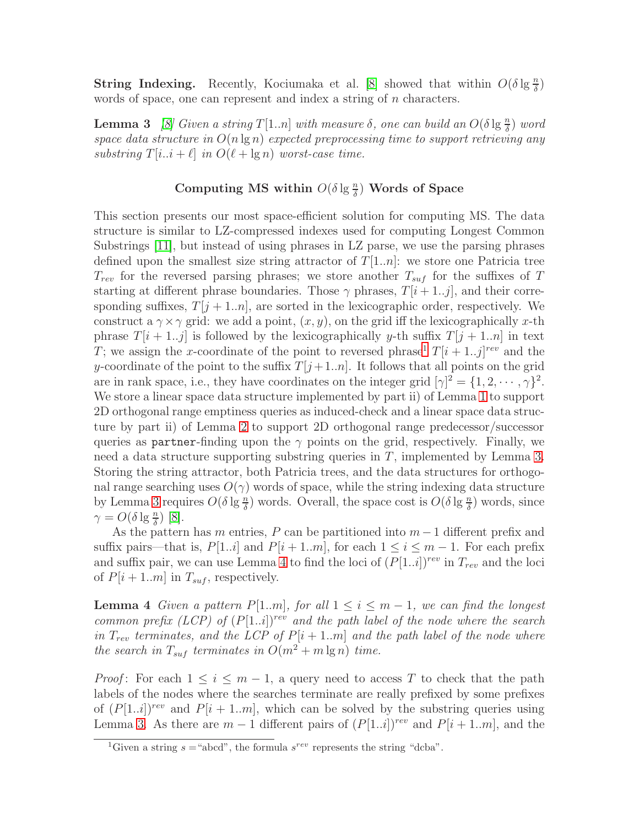**String Indexing.** Recently, Kociumaka et al. [\[8\]](#page-12-7) showed that within  $O(\delta \lg \frac{n}{\delta})$ words of space, one can represent and index a string of n characters.

**Lemma 3** [\[8\]](#page-12-7) Given a string  $T[1..n]$  with measure  $\delta$ , one can build an  $O(\delta \lg \frac{n}{\delta})$  word space data structure in  $O(n \lg n)$  expected preprocessing time to support retrieving any substring  $T[i..i + \ell]$  in  $O(\ell + \lg n)$  worst-case time.

# <span id="page-3-1"></span>Computing MS within  $O(\delta \lg \frac{n}{\delta})$  Words of Space

This section presents our most space-efficient solution for computing MS. The data structure is similar to LZ-compressed indexes used for computing Longest Common Substrings [\[11\]](#page-13-1), but instead of using phrases in LZ parse, we use the parsing phrases defined upon the smallest size string attractor of  $T[1..n]$ : we store one Patricia tree  $T_{rev}$  for the reversed parsing phrases; we store another  $T_{suf}$  for the suffixes of T starting at different phrase boundaries. Those  $\gamma$  phrases,  $T[i+1..j]$ , and their corresponding suffixes,  $T[j + 1..n]$ , are sorted in the lexicographic order, respectively. We construct a  $\gamma \times \gamma$  grid: we add a point,  $(x, y)$ , on the grid iff the lexicographically x-th phrase  $T[i + 1..j]$  is followed by the lexicographically y-th suffix  $T[j + 1..n]$  in text T; we assign the x-coordinate of the point to reversed phrase<sup>[1](#page-3-0)</sup>  $T[i+1..j]^{rev}$  and the y-coordinate of the point to the suffix  $T[j+1..n]$ . It follows that all points on the grid are in rank space, i.e., they have coordinates on the integer grid  $[\gamma]^2 = \{1, 2, \dots, \gamma\}^2$ . We store a linear space data structure implemented by part ii) of Lemma [1](#page-2-0) to support 2D orthogonal range emptiness queries as induced-check and a linear space data structure by part ii) of Lemma [2](#page-2-1) to support 2D orthogonal range predecessor/successor queries as partner-finding upon the  $\gamma$  points on the grid, respectively. Finally, we need a data structure supporting substring queries in  $T$ , implemented by Lemma [3.](#page-3-1) Storing the string attractor, both Patricia trees, and the data structures for orthogonal range searching uses  $O(\gamma)$  words of space, while the string indexing data structure by Lemma [3](#page-3-1) requires  $O(\delta \lg \frac{n}{\delta})$  words. Overall, the space cost is  $O(\delta \lg \frac{n}{\delta})$  words, since  $\gamma = O(\delta \lg \frac{n}{\delta})$  [\[8\]](#page-12-7).

As the pattern has m entries, P can be partitioned into  $m-1$  different prefix and suffix pairs—that is,  $P[1..i]$  and  $P[i+1..m]$ , for each  $1 \le i \le m-1$ . For each prefix and suffix pair, we can use Lemma [4](#page-3-2) to find the loci of  $(P[1..i])^{rev}$  in  $T_{rev}$  and the loci of  $P[i + 1..m]$  in  $T_{suf}$ , respectively.

<span id="page-3-2"></span>**Lemma 4** Given a pattern P[1..m], for all  $1 \leq i \leq m-1$ , we can find the longest common prefix (LCP) of  $(P[1..i])^{rev}$  and the path label of the node where the search in  $T_{rev}$  terminates, and the LCP of  $P[i + 1..m]$  and the path label of the node where the search in  $T_{suf}$  terminates in  $O(m^2 + m \lg n)$  time.

*Proof*: For each  $1 \leq i \leq m-1$ , a query need to access T to check that the path labels of the nodes where the searches terminate are really prefixed by some prefixes of  $(P[1..i])^{rev}$  and  $P[i + 1..m]$ , which can be solved by the substring queries using Lemma [3.](#page-3-1) As there are  $m-1$  different pairs of  $(P[1..i])^{rev}$  and  $P[i+1..m]$ , and the

<span id="page-3-0"></span><sup>&</sup>lt;sup>1</sup>Given a string  $s =$  "abcd", the formula  $s^{rev}$  represents the string "dcba".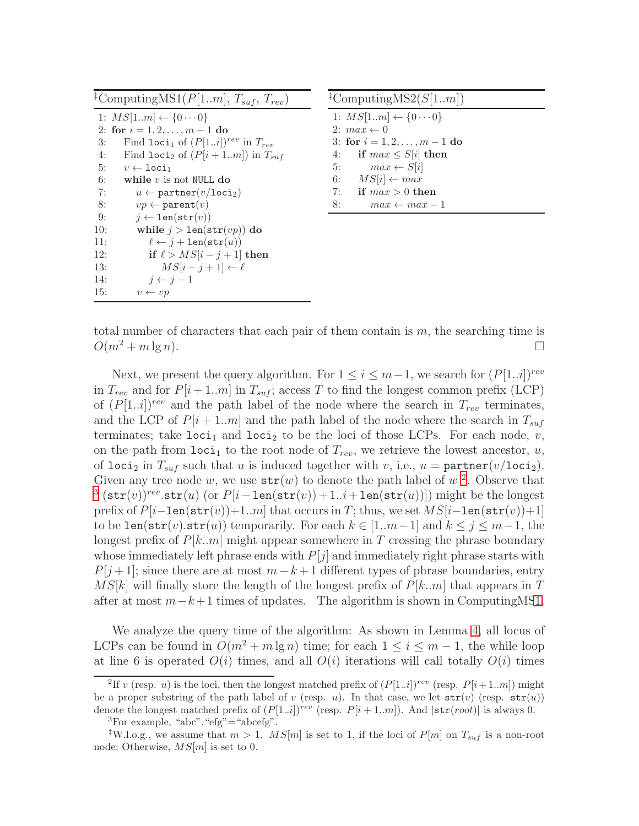| <sup>‡</sup> ComputingMS1( $P$ [1m], $T_{\textit{surf}}$ , $T_{\textit{rev}}$ ) |  |
|---------------------------------------------------------------------------------|--|
| 1: $MS[1m] \leftarrow \{0 \cdots 0\}$                                           |  |
| 2: for $i = 1, 2, , m - 1$ do                                                   |  |
| Find loci <sub>1</sub> of $(P[1i])^{rev}$ in $T_{rev}$                          |  |
| Find loci <sub>2</sub> of $(P[i+1m])$ in $T_{suf}$                              |  |
| $v \leftarrow \texttt{loci}_1$                                                  |  |
| while $v$ is not NULL do                                                        |  |
| $u \leftarrow$ partner $(v/\texttt{loci}_2)$                                    |  |
| $vp \leftarrow \texttt{parent}(v)$                                              |  |
| $j \leftarrow \texttt{len}(\texttt{str}(v))$                                    |  |
| while $j > \text{len}(\text{str}(vp))$ do                                       |  |
| $\ell \leftarrow j + \text{len}(\texttt{str}(u))$                               |  |
| if $\ell > MS[i-j+1]$ then                                                      |  |
| $MS[i-j+1] \leftarrow \ell$                                                     |  |
| $i \leftarrow i-1$                                                              |  |
| $v \leftarrow vp$                                                               |  |
|                                                                                 |  |

<span id="page-4-2"></span>

|    | <sup>‡</sup> ComputingMS2( $S[1m]$ )  |
|----|---------------------------------------|
|    | 1: $MS[1m] \leftarrow \{0 \cdots 0\}$ |
|    | 2: $max \leftarrow 0$                 |
|    | 3: for $i = 1, 2, , m - 1$ do         |
| 4: | if $max \leq S[i]$ then               |
| 5: | $max \leftarrow S[i]$                 |
| 6: | $MS[i] \leftarrow max$                |
| 7: | if $max > 0$ then                     |
| 8: | $max \leftarrow max - 1$              |

total number of characters that each pair of them contain is  $m$ , the searching time is  $O(m^2 + m \lg n).$ 

Next, we present the query algorithm. For  $1 \leq i \leq m-1$ , we search for  $(P[1..i])^{rev}$ in  $T_{rev}$  and for  $P[i+1..m]$  in  $T_{suf}$ ; access T to find the longest common prefix (LCP) of  $(P[1..i])^{rev}$  and the path label of the node where the search in  $T_{rev}$  terminates, and the LCP of  $P[i+1..m]$  and the path label of the node where the search in  $T_{suf}$ terminates; take loci<sub>1</sub> and loci<sub>2</sub> to be the loci of those LCPs. For each node, v, on the path from  $\texttt{loci}_1$  to the root node of  $T_{rev}$ , we retrieve the lowest ancestor, u, of loci<sub>2</sub> in  $T_{suf}$  such that u is induced together with v, i.e., u = partner(v/loci<sub>2</sub>). Given any tree node w, we use  $str(w)$  to denote the path label of w<sup>[2](#page-4-0)</sup>. Observe that <sup>[3](#page-4-1)</sup> (str(v))<sup>rev</sup>.str(u) (or  $P[i-\text{len}(\text{str}(v))+1..i+\text{len}(\text{str}(u))])$  might be the longest prefix of  $P[i-\text{len}(\text{str}(v))+1..m]$  that occurs in T; thus, we set  $MS[i-\text{len}(\text{str}(v))+1]$ to be len(str(v).str(u)) temporarily. For each  $k \in [1..m-1]$  and  $k \leq j \leq m-1$ , the longest prefix of  $P[k..m]$  might appear somewhere in T crossing the phrase boundary whose immediately left phrase ends with  $P[j]$  and immediately right phrase starts with  $P[j+1]$ ; since there are at most  $m-k+1$  different types of phrase boundaries, entry  $MS[k]$  will finally store the length of the longest prefix of  $P[k..m]$  that appears in T after at most  $m-k+1$  times of updates. The algorithm is shown in ComputingM[S1.](#page-4-2)

We analyze the query time of the algorithm: As shown in Lemma [4,](#page-3-2) all locus of LCPs can be found in  $O(m^2 + m \lg n)$  time; for each  $1 \leq i \leq m-1$ , the while loop at line 6 is operated  $O(i)$  times, and all  $O(i)$  iterations will call totally  $O(i)$  times

<span id="page-4-0"></span><sup>&</sup>lt;sup>2</sup>If v (resp. u) is the loci, then the longest matched prefix of  $(P[1..i])^{rev}$  (resp.  $P[i+1..m])$  might be a proper substring of the path label of v (resp. u). In that case, we let  $str(v)$  (resp.  $str(u)$ ) denote the longest matched prefix of  $(P[1..i])^{rev}$  (resp.  $P[i+1..m]$ ). And  $|\text{str}(root)|$  is always 0.

 ${}^{3}$ For example, "abc". "efg" = "abcefg".

<span id="page-4-1"></span><sup>&</sup>lt;sup>‡</sup>W.l.o.g., we assume that  $m > 1$ . MS[m] is set to 1, if the loci of P[m] on  $T_{suf}$  is a non-root node; Otherwise,  $MS[m]$  is set to 0.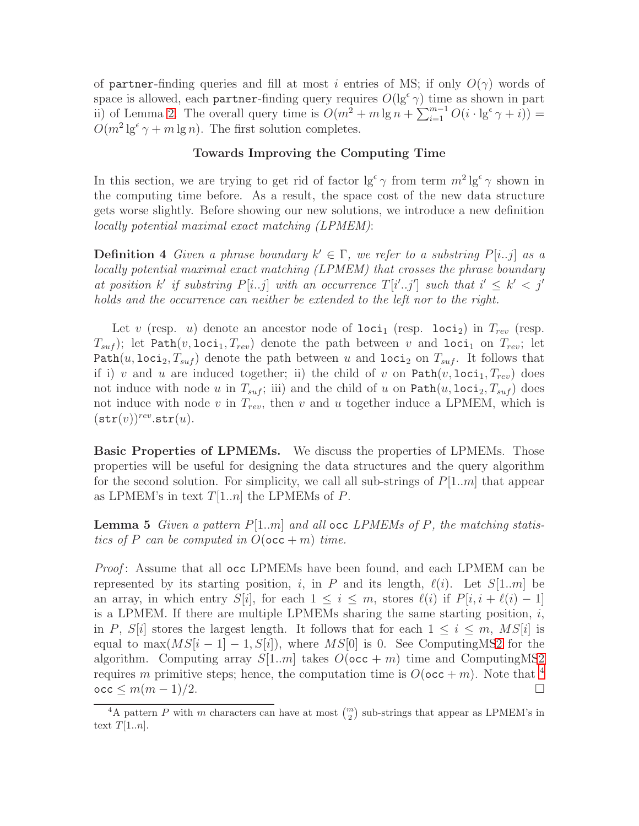of partner-finding queries and fill at most i entries of MS; if only  $O(\gamma)$  words of space is allowed, each partner-finding query requires  $O(\lg^{\epsilon} \gamma)$  time as shown in part ii) of Lemma [2.](#page-2-1) The overall query time is  $O(m^2 + m \lg n + \sum_{i=1}^{m-1} O(i \cdot \lg^{\epsilon} \gamma + i))$  =  $O(m^2 \lg^{\epsilon} \gamma + m \lg n)$ . The first solution completes.

## Towards Improving the Computing Time

In this section, we are trying to get rid of factor  $\lg^{\epsilon} \gamma$  from term  $m^2 \lg^{\epsilon} \gamma$  shown in the computing time before. As a result, the space cost of the new data structure gets worse slightly. Before showing our new solutions, we introduce a new definition locally potential maximal exact matching (LPMEM):

**Definition 4** Given a phrase boundary  $k' \in \Gamma$ , we refer to a substring  $P[i..j]$  as a locally potential maximal exact matching (LPMEM) that crosses the phrase boundary at position k' if substring  $P[i..j]$  with an occurrence  $T[i'..j']$  such that  $i' \leq k' < j'$ holds and the occurrence can neither be extended to the left nor to the right.

Let v (resp. u) denote an ancestor node of  $loci<sub>1</sub>$  (resp. loci<sub>2</sub>) in  $T_{rev}$  (resp.  $T_{suf}$ ; let Path $(v, \text{loci}_1, T_{rev})$  denote the path between v and loci<sub>1</sub> on  $T_{rev}$ ; let Path $(u, \text{loci}_2, T_{suf})$  denote the path between u and  $\text{loci}_2$  on  $T_{suf}$ . It follows that if i) v and u are induced together; ii) the child of v on  $Path(v, loci_1, T_{rev})$  does not induce with node u in  $T_{suf}$ ; iii) and the child of u on  $Path(u, loci<sub>2</sub>, T_{suf})$  does not induce with node  $v$  in  $T_{rev}$ , then  $v$  and  $u$  together induce a LPMEM, which is  $(\texttt{str}(v))^{rev}$ .str $(u)$ .

**Basic Properties of LPMEMs.** We discuss the properties of LPMEMs. Those properties will be useful for designing the data structures and the query algorithm for the second solution. For simplicity, we call all sub-strings of  $P[1..m]$  that appear as LPMEM's in text  $T[1..n]$  the LPMEMs of P.

**Lemma 5** Given a pattern  $P[1..m]$  and all occ LPMEMs of P, the matching statistics of P can be computed in  $O(\text{occ} + m)$  time.

*Proof*: Assume that all occ LPMEMs have been found, and each LPMEM can be represented by its starting position, i, in P and its length,  $\ell(i)$ . Let  $S[1..m]$  be an array, in which entry  $S[i]$ , for each  $1 \leq i \leq m$ , stores  $\ell(i)$  if  $P[i, i + \ell(i) - 1]$ is a LPMEM. If there are multiple LPMEMs sharing the same starting position,  $i$ , in P,  $S[i]$  stores the largest length. It follows that for each  $1 \leq i \leq m$ ,  $MS[i]$  is equal to  $\max(MS[i-1]-1, S[i])$ , where  $MS[0]$  is 0. See Computing M[S2](#page-4-2) for the algorithm. Computing array  $S[1..m]$  takes  $O(\text{occ} + m)$  time and ComputingM[S2](#page-4-2) requires m primitive steps; hence, the computation time is  $O(\texttt{occ} + m)$ . Note that <sup>[4](#page-5-0)</sup>  $\mathrm{occ} \leq m(m-1)/2.$ 

<span id="page-5-0"></span><sup>&</sup>lt;sup>4</sup>A pattern P with m characters can have at most  $\binom{m}{2}$  sub-strings that appear as LPMEM's in text  $T[1..n]$ .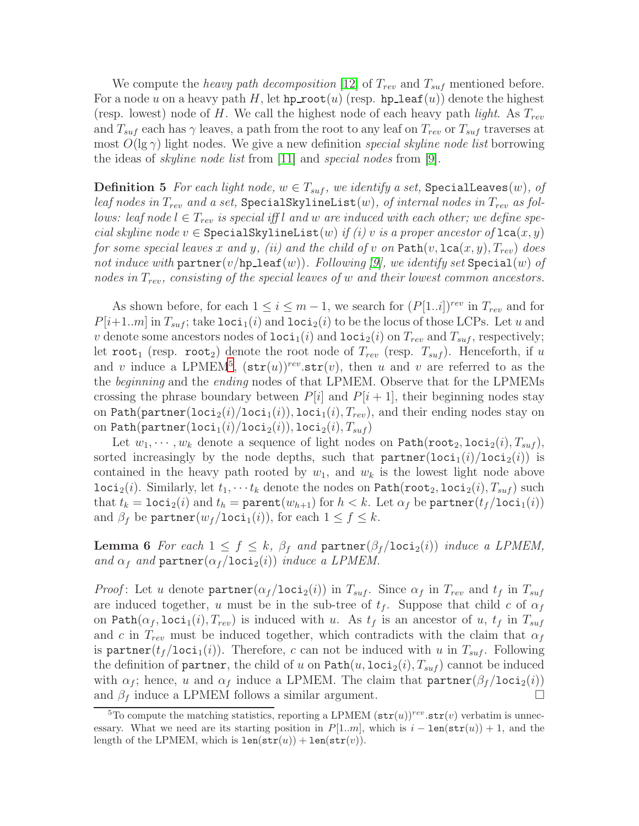We compute the *heavy path decomposition* [\[12\]](#page-13-2) of  $T_{rev}$  and  $T_{suf}$  mentioned before. For a node u on a heavy path H, let hp root(u) (resp. hp leaf(u)) denote the highest (resp. lowest) node of H. We call the highest node of each heavy path *light*. As  $T_{rev}$ and  $T_{suf}$  each has  $\gamma$  leaves, a path from the root to any leaf on  $T_{rev}$  or  $T_{suf}$  traverses at most  $O(\lg \gamma)$  light nodes. We give a new definition special skyline node list borrowing the ideas of *skyline node list* from [\[11\]](#page-13-1) and *special nodes* from [\[9\]](#page-12-8).

<span id="page-6-1"></span>**Definition 5** For each light node,  $w \in T_{\text{surf}}$ , we identify a set, SpecialLeaves(w), of leaf nodes in  $T_{rev}$  and a set, SpecialSkylineList $(w)$ , of internal nodes in  $T_{rev}$  as follows: leaf node  $l \in T_{rev}$  is special iff l and w are induced with each other; we define special skyline node  $v \in \text{SpecialSkylineList}(w)$  if (i) v is a proper ancestor of  $lca(x, y)$ for some special leaves x and y, (ii) and the child of v on  $\text{Path}(v, \text{lca}(x, y), T_{rev})$  does not induce with  $\texttt{partner}(v/\texttt{hp\_leaf}(w))$ . Following [\[9\]](#page-12-8), we identify set  $\texttt{Special}(w)$  of nodes in  $T_{rev}$ , consisting of the special leaves of w and their lowest common ancestors.

As shown before, for each  $1 \leq i \leq m-1$ , we search for  $(P[1..i])^{rev}$  in  $T_{rev}$  and for  $P[i+1..m]$  in  $T_{suf}$ ; take  $Ioci_1(i)$  and  $Ioci_2(i)$  to be the locus of those LCPs. Let u and v denote some ancestors nodes of  $\text{loci}_1(i)$  and  $\text{loci}_2(i)$  on  $T_{rev}$  and  $T_{suf}$ , respectively; let root<sub>1</sub> (resp. root<sub>2</sub>) denote the root node of  $T_{rev}$  (resp.  $T_{suf}$ ). Henceforth, if u and v induce a LPMEM<sup>[5](#page-6-0)</sup>,  $(\text{str}(u))^{rev}.\text{str}(v)$ , then u and v are referred to as the the *beginning* and the *ending* nodes of that LPMEM. Observe that for the LPMEMs crossing the phrase boundary between  $P[i]$  and  $P[i+1]$ , their beginning nodes stay on Path(partner(loci<sub>2</sub>(i)/loci<sub>1</sub>(i)), loci<sub>1</sub>(i),  $T_{rev}$ ), and their ending nodes stay on on Path $(\texttt{partner}(\texttt{loci}_1(i)/\texttt{loci}_2(i)), \texttt{loci}_2(i), T_{suf} )$ 

Let  $w_1, \dots, w_k$  denote a sequence of light nodes on  $\text{Path}(\text{root}_2, \text{loci}_2(i), T_{suf}),$ sorted increasingly by the node depths, such that  $partner(loci_1(i)/loci_2(i))$  is contained in the heavy path rooted by  $w_1$ , and  $w_k$  is the lowest light node above  $\text{loci}_2(i)$ . Similarly, let  $t_1, \dots t_k$  denote the nodes on  $\text{Path}(\text{root}_2, \text{loci}_2(i), T_{suf})$  such that  $t_k = \texttt{loci}_2(i)$  and  $t_h = \texttt{parent}(w_{h+1})$  for  $h < k$ . Let  $\alpha_f$  be  $\texttt{partner}(t_f / \texttt{loci}_1(i))$ and  $\beta_f$  be partner( $w_f /$ loci<sub>1</sub>(i)), for each  $1 \le f \le k$ .

**Lemma 6** For each  $1 \leq f \leq k$ ,  $\beta_f$  and  $\text{partner}(\beta_f/\text{loci}_2(i))$  induce a LPMEM, and  $\alpha_f$  and  $\text{partner}(\alpha_f / \text{loci}_2(i))$  induce a LPMEM.

*Proof*: Let u denote partner( $\alpha_f / \text{loci}_2(i)$ ) in  $T_{suf}$ . Since  $\alpha_f$  in  $T_{rev}$  and  $t_f$  in  $T_{suf}$ are induced together, u must be in the sub-tree of  $t_f$ . Suppose that child c of  $\alpha_f$ on Path $(\alpha_f, \texttt{loci}_1(i), T_{rev})$  is induced with u. As  $t_f$  is an ancestor of u,  $t_f$  in  $T_{suf}$ and c in  $T_{rev}$  must be induced together, which contradicts with the claim that  $\alpha_f$ is partner( $t_f$ /loci<sub>1</sub>(i)). Therefore, c can not be induced with u in  $T_{suf}$ . Following the definition of partner, the child of u on  $Path(u, loci_2(i), T_{suf})$  cannot be induced with  $\alpha_f$ ; hence, u and  $\alpha_f$  induce a LPMEM. The claim that  $\text{partner}(\beta_f / \text{loci}_2(i))$ and  $\beta_f$  induce a LPMEM follows a similar argument.

<span id="page-6-0"></span><sup>&</sup>lt;sup>5</sup>To compute the matching statistics, reporting a LPMEM  $(\text{str}(u))^{rev}.\text{str}(v)$  verbatim is unnecessary. What we need are its starting position in  $P[1..m]$ , which is  $i - len(str(u)) + 1$ , and the length of the LPMEM, which is  $len(str(u)) + len(str(v))$ .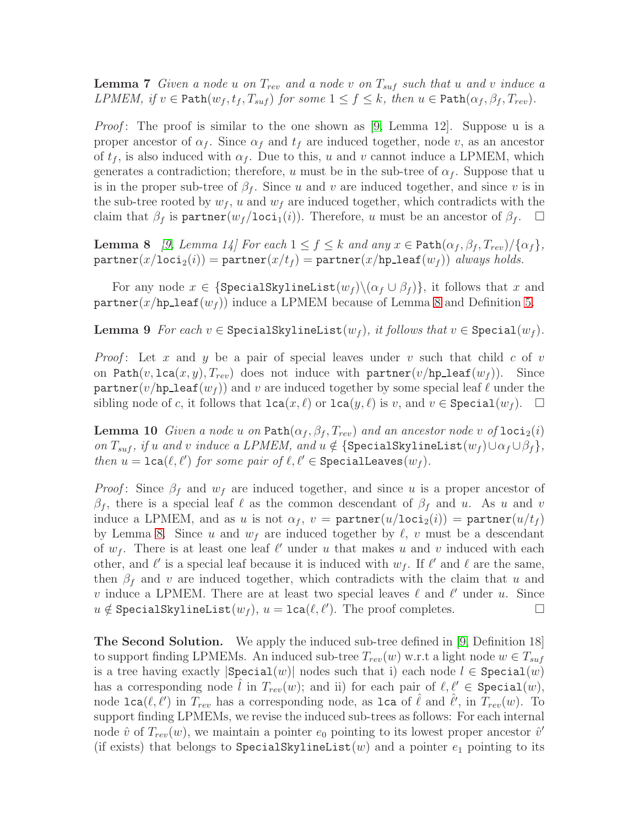**Lemma 7** Given a node u on  $T_{rev}$  and a node v on  $T_{suf}$  such that u and v induce a LPMEM, if  $v \in \text{Path}(w_f, t_f, T_{suf})$  for some  $1 \le f \le k$ , then  $u \in \text{Path}(\alpha_f, \beta_f, T_{rev})$ .

*Proof*: The proof is similar to the one shown as [\[9,](#page-12-8) Lemma 12]. Suppose u is a proper ancestor of  $\alpha_f$ . Since  $\alpha_f$  and  $t_f$  are induced together, node v, as an ancestor of  $t_f$ , is also induced with  $\alpha_f$ . Due to this, u and v cannot induce a LPMEM, which generates a contradiction; therefore, u must be in the sub-tree of  $\alpha_f$ . Suppose that u is in the proper sub-tree of  $\beta_f$ . Since u and v are induced together, and since v is in the sub-tree rooted by  $w_f$ , u and  $w_f$  are induced together, which contradicts with the claim that  $\beta_f$  is partner( $w_f /$ loci<sub>1</sub>(i)). Therefore, u must be an ancestor of  $\beta_f$ .  $\Box$ 

<span id="page-7-0"></span>**Lemma 8** [\[9,](#page-12-8) Lemma 14] For each  $1 \leq f \leq k$  and any  $x \in \text{Path}(\alpha_f, \beta_f, T_{rev})/\{\alpha_f\},\$  $\text{partner}(x/\text{loci}_2(i)) = \text{partner}(x/t_f) = \text{partner}(x/\text{hp}\text{\_leaf}(w_f))$  always holds.

For any node  $x \in \{\text{SpecialSkylineList}(w_f) \setminus (\alpha_f \cup \beta_f)\},\$ it follows that x and partner(x/hp\_leaf( $w_f$ )) induce a LPMEM because of Lemma [8](#page-7-0) and Definition [5.](#page-6-1)

**Lemma 9** For each  $v \in$  SpecialSkylineList( $w_f$ ), it follows that  $v \in$  Special( $w_f$ ).

*Proof*: Let x and y be a pair of special leaves under v such that child c of v on Path $(v, \text{lca}(x, y), T_{rev})$  does not induce with partner $(v/\text{hp\_leaf}(w_f))$ . Since partner(v/hp leaf( $w_f$ )) and v are induced together by some special leaf  $\ell$  under the sibling node of c, it follows that  $lca(x, \ell)$  or  $lca(y, \ell)$  is v, and  $v \in \text{Special}(w_f)$ .  $\Box$ 

**Lemma 10** Given a node u on Path $(\alpha_f, \beta_f, T_{rev})$  and an ancestor node v of loci<sub>2</sub>(i) on  $T_{suf}$ , if u and v induce a LPMEM, and  $u \notin \{\text{SpecialSkylineList}(w_f) \cup \alpha_f \cup \beta_f\},\$ then  $u = \texttt{lca}(\ell, \ell')$  for some pair of  $\ell, \ell' \in \texttt{SpecialLeaves}(w_f)$ .

*Proof*: Since  $\beta_f$  and  $w_f$  are induced together, and since u is a proper ancestor of  $\beta_f$ , there is a special leaf  $\ell$  as the common descendant of  $\beta_f$  and u. As u and v induce a LPMEM, and as u is not  $\alpha_f$ ,  $v =$  partner $(u/\text{loci}_2(i)) =$  partner $(u/t_f)$ by Lemma [8.](#page-7-0) Since u and  $w_f$  are induced together by  $\ell$ , v must be a descendant of  $w_f$ . There is at least one leaf  $\ell'$  under u that makes u and v induced with each other, and  $\ell'$  is a special leaf because it is induced with  $w_f$ . If  $\ell'$  and  $\ell$  are the same, then  $\beta_f$  and v are induced together, which contradicts with the claim that u and v induce a LPMEM. There are at least two special leaves  $\ell$  and  $\ell'$  under u. Since  $u \notin \text{SpecialSkylineList}(w_f), u = \text{lca}(\ell, \ell').$  The proof completes. □

The Second Solution. We apply the induced sub-tree defined in [\[9,](#page-12-8) Definition 18] to support finding LPMEMs. An induced sub-tree  $T_{rev}(w)$  w.r.t a light node  $w \in T_{suf}$ is a tree having exactly  $|\text{Special}(w)|$  nodes such that i) each node  $l \in \text{Special}(w)$ has a corresponding node *l* in  $T_{rev}(w)$ ; and ii) for each pair of  $\ell, \ell' \in \text{Special}(w)$ , node  $lca(\ell, \ell')$  in  $T_{rev}$  has a corresponding node, as  $lca$  of  $\hat{\ell}$  and  $\hat{\ell}'$ , in  $T_{rev}(w)$ . To support finding LPMEMs, we revise the induced sub-trees as follows: For each internal node  $\hat{v}$  of  $T_{rev}(w)$ , we maintain a pointer  $e_0$  pointing to its lowest proper ancestor  $\hat{v}'$ (if exists) that belongs to SpecialSkylineList(w) and a pointer  $e_1$  pointing to its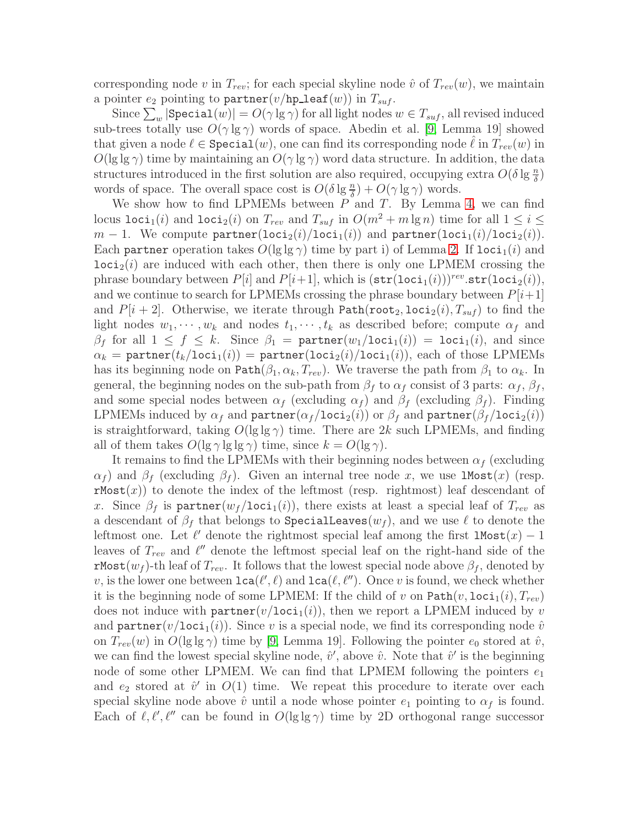corresponding node v in  $T_{rev}$ ; for each special skyline node  $\hat{v}$  of  $T_{rev}(w)$ , we maintain a pointer  $e_2$  pointing to partner(v/hp\_leaf(w)) in  $T_{suf}$ .

Since  $\sum_{w}|\texttt{Special}(w)| = O(\gamma\lg\gamma)$  for all light nodes  $w\in T_{suf},$  all revised induced sub-trees totally use  $O(\gamma \lg \gamma)$  words of space. Abedin et al. [\[9,](#page-12-8) Lemma 19] showed that given a node  $\ell \in \text{Special}(w)$ , one can find its corresponding node  $\ell$  in  $T_{rev}(w)$  in  $O(\lg\lg\gamma)$  time by maintaining an  $O(\gamma\lg\gamma)$  word data structure. In addition, the data structures introduced in the first solution are also required, occupying extra  $O(\delta \lg \frac{n}{\delta})$ words of space. The overall space cost is  $O(\delta \lg \frac{n}{\delta}) + O(\gamma \lg \gamma)$  words.

We show how to find LPMEMs between  $P$  and  $T$ . By Lemma [4,](#page-3-2) we can find locus loci<sub>1</sub>(i) and loci<sub>2</sub>(i) on  $T_{rev}$  and  $T_{suf}$  in  $O(m^2 + m \lg n)$  time for all  $1 \le i \le n$  $m-1$ . We compute partner(loci<sub>2</sub>(i)/loci<sub>1</sub>(i)) and partner(loci<sub>1</sub>(i)/loci<sub>2</sub>(i)). Each partner operation takes  $O(\lg \lg \gamma)$  time by part i) of Lemma [2.](#page-2-1) If  $loci<sub>1</sub>(i)$  and  $\text{loci}_2(i)$  are induced with each other, then there is only one LPMEM crossing the phrase boundary between  $P[i]$  and  $P[i+1]$ , which is  $(\texttt{str}(\texttt{loci}_1(i)))^{rev}$ . $\texttt{str}(\texttt{loci}_2(i)),$ and we continue to search for LPMEMs crossing the phrase boundary between  $P[i+1]$ and  $P[i + 2]$ . Otherwise, we iterate through Path(root<sub>2</sub>, loci<sub>2</sub>(i),  $T_{suf}$ ) to find the light nodes  $w_1, \dots, w_k$  and nodes  $t_1, \dots, t_k$  as described before; compute  $\alpha_f$  and  $\beta_f$  for all  $1 \leq f \leq k$ . Since  $\beta_1 = \text{partner}(w_1/\text{loci}_1(i)) = \text{loci}_1(i)$ , and since  $\alpha_k = \texttt{partner}(t_k/\texttt{loci}_1(i)) = \texttt{partner}(\texttt{loci}_2(i)/\texttt{loci}_1(i)),$  each of those LPMEMs has its beginning node on Path $(\beta_1, \alpha_k, T_{rev})$ . We traverse the path from  $\beta_1$  to  $\alpha_k$ . In general, the beginning nodes on the sub-path from  $\beta_f$  to  $\alpha_f$  consist of 3 parts:  $\alpha_f$ ,  $\beta_f$ , and some special nodes between  $\alpha_f$  (excluding  $\alpha_f$ ) and  $\beta_f$  (excluding  $\beta_f$ ). Finding LPMEMs induced by  $\alpha_f$  and  $\texttt{partner}(\alpha_f / \texttt{loci}_2(i))$  or  $\beta_f$  and  $\texttt{partner}(\beta_f / \texttt{loci}_2(i))$ is straightforward, taking  $O(\lg \lg \gamma)$  time. There are 2k such LPMEMs, and finding all of them takes  $O(\lg \gamma \lg \lg \gamma)$  time, since  $k = O(\lg \gamma)$ .

It remains to find the LPMEMs with their beginning nodes between  $\alpha_f$  (excluding  $\alpha_f$ ) and  $\beta_f$  (excluding  $\beta_f$ ). Given an internal tree node x, we use **1Most**(x) (resp.  $rMost(x)$  to denote the index of the leftmost (resp. rightmost) leaf descendant of x. Since  $\beta_f$  is partner $(w_f / \text{loci}_1(i))$ , there exists at least a special leaf of  $T_{rev}$  as a descendant of  $\beta_f$  that belongs to SpecialLeaves $(w_f)$ , and we use  $\ell$  to denote the leftmost one. Let  $\ell'$  denote the rightmost special leaf among the first lMost $(x) - 1$ leaves of  $T_{rev}$  and  $\ell''$  denote the leftmost special leaf on the right-hand side of the rMost $(w_f)$ -th leaf of  $T_{rev}$ . It follows that the lowest special node above  $\beta_f$ , denoted by v, is the lower one between  $\texttt{lca}(\ell',\ell)$  and  $\texttt{lca}(\ell,\ell'')$ . Once v is found, we check whether it is the beginning node of some LPMEM: If the child of v on  $Path(v, loci<sub>1</sub>(i), T<sub>rev</sub>)$ does not induce with  $\texttt{partner}(v/\texttt{loci}_1(i))$ , then we report a LPMEM induced by v and  $partner(v/loci_1(i))$ . Since v is a special node, we find its corresponding node  $\hat{v}$ on  $T_{rev}(w)$  in  $O(\lg\lg\gamma)$  time by [\[9,](#page-12-8) Lemma 19]. Following the pointer  $e_0$  stored at  $\hat{v}$ , we can find the lowest special skyline node,  $\hat{v}'$ , above  $\hat{v}$ . Note that  $\hat{v}'$  is the beginning node of some other LPMEM. We can find that LPMEM following the pointers  $e_1$ and  $e_2$  stored at  $\hat{v}'$  in  $O(1)$  time. We repeat this procedure to iterate over each special skyline node above  $\hat{v}$  until a node whose pointer  $e_1$  pointing to  $\alpha_f$  is found. Each of  $\ell, \ell', \ell''$  can be found in  $O(\lg \lg \gamma)$  time by 2D orthogonal range successor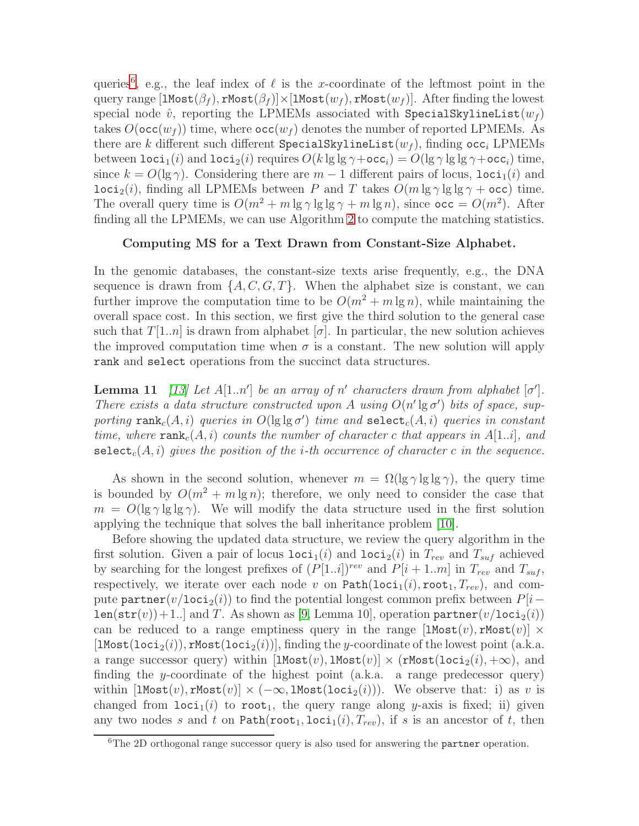queries<sup>[6](#page-9-0)</sup>, e.g., the leaf index of  $\ell$  is the x-coordinate of the leftmost point in the query range  $[\text{Most}(\beta_f), \text{rMost}(\beta_f)] \times [\text{Most}(w_f), \text{rMost}(w_f)]$ . After finding the lowest special node  $\hat{v}$ , reporting the LPMEMs associated with SpecialSkylineList( $w_f$ ) takes  $O(\mathsf{occ}(w_f))$  time, where  $\mathsf{occ}(w_f)$  denotes the number of reported LPMEMs. As there are k different such different SpecialSkylineList( $w<sub>f</sub>$ ), finding occ<sub>i</sub> LPMEMs between loci<sub>1</sub>(i) and loci<sub>2</sub>(i) requires  $O(k \lg \lg \gamma + \text{occ}_i) = O(\lg \gamma \lg \lg \gamma + \text{occ}_i)$  time, since  $k = O(\lg \gamma)$ . Considering there are  $m - 1$  different pairs of locus,  $loci<sub>1</sub>(i)$  and  $\text{loci}_2(i)$ , finding all LPMEMs between P and T takes  $O(m \lg \gamma \lg \lg \gamma + \text{occ})$  time. The overall query time is  $O(m^2 + m \lg \gamma \lg \lg \gamma + m \lg n)$ , since  $occ = O(m^2)$ . After finding all the LPMEMs, we can use Algorithm [2](#page-4-2) to compute the matching statistics.

## Computing MS for a Text Drawn from Constant-Size Alphabet.

In the genomic databases, the constant-size texts arise frequently, e.g., the DNA sequence is drawn from  $\{A, C, G, T\}$ . When the alphabet size is constant, we can further improve the computation time to be  $O(m^2 + m \lg n)$ , while maintaining the overall space cost. In this section, we first give the third solution to the general case such that  $T[1..n]$  is drawn from alphabet  $\sigma$ . In particular, the new solution achieves the improved computation time when  $\sigma$  is a constant. The new solution will apply rank and select operations from the succinct data structures.

<span id="page-9-1"></span>**Lemma 11** [\[13\]](#page-13-3) Let  $A[1..n']$  be an array of n' characters drawn from alphabet  $[\sigma']$ . There exists a data structure constructed upon A using  $O(n' \lg \sigma')$  bits of space, supporting  $\texttt{rank}_c(A, i)$  queries in  $O(\lg\lg\sigma')$  time and  $\texttt{select}_c(A, i)$  queries in constant time, where  $\texttt{rank}_c(A, i)$  counts the number of character c that appears in A[1..i], and select<sub>c</sub> $(A, i)$  gives the position of the *i*-th occurrence of character c in the sequence.

As shown in the second solution, whenever  $m = \Omega(\lg \gamma \lg \lg \gamma)$ , the query time is bounded by  $O(m^2 + m \lg n)$ ; therefore, we only need to consider the case that  $m = O(\lg \gamma \lg \lg \gamma)$ . We will modify the data structure used in the first solution applying the technique that solves the ball inheritance problem [\[10\]](#page-13-0).

Before showing the updated data structure, we review the query algorithm in the first solution. Given a pair of locus  $\text{loci}_1(i)$  and  $\text{loci}_2(i)$  in  $T_{rev}$  and  $T_{suf}$  achieved by searching for the longest prefixes of  $(P[1..i])^{rev}$  and  $P[i + 1..m]$  in  $T_{rev}$  and  $T_{suf}$ , respectively, we iterate over each node v on  $Path(loci_1(i), root_1, T_{rev})$ , and compute partner(v/loci<sub>2</sub>(i)) to find the potential longest common prefix between  $P[i$  $len(str(v)) + 1$ . and T. As shown as [\[9,](#page-12-8) Lemma 10], operation partner $(v/loci_2(i))$ can be reduced to a range emptiness query in the range  $[\texttt{Most}(v), \texttt{rMost}(v)] \times$ [ $1\text{Most}(1\text{oci}_2(i))$ ,  $\text{rMost}(1\text{oci}_2(i))$ ], finding the y-coordinate of the lowest point (a.k.a. a range successor query) within  $[1\text{Most}(v), 1\text{Most}(v)] \times (r\text{Most}(1oci_2(i), +\infty))$ , and finding the y-coordinate of the highest point (a.k.a. a range predecessor query) within  $[1Most(v), rMost(v)] \times (-\infty, 1Most(loci_2(i)))$ . We observe that: i) as v is changed from  $loci_1(i)$  to root<sub>1</sub>, the query range along y-axis is fixed; ii) given any two nodes s and t on  $Path(root_1, loci_1(i), T_{rev})$ , if s is an ancestor of t, then

<span id="page-9-0"></span> ${}^{6}$ The 2D orthogonal range successor query is also used for answering the partner operation.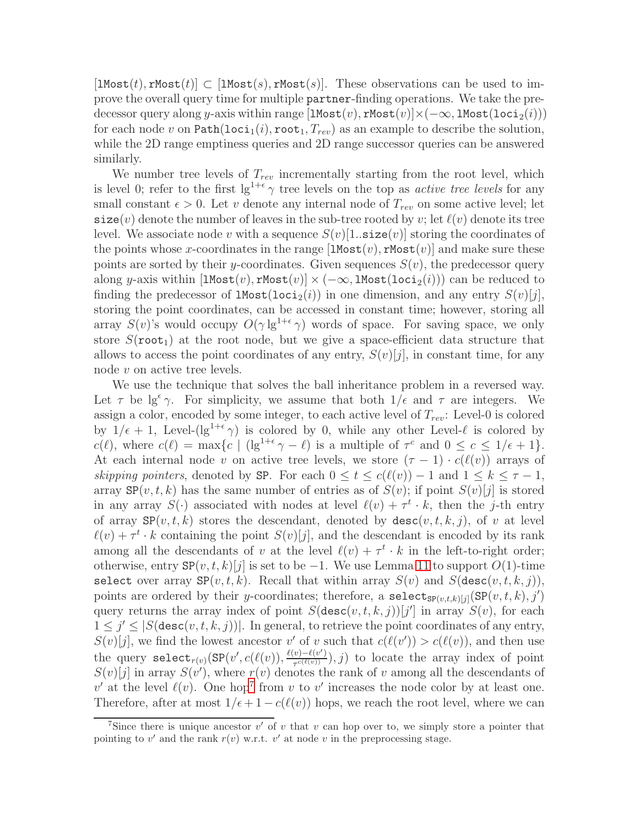$[1\text{Most}(t), \text{rMost}(t)] \subset [1\text{Most}(s), \text{rMost}(s)].$  These observations can be used to improve the overall query time for multiple partner-finding operations. We take the predecessor query along y-axis within range  $[\text{Most}(v), \text{rMost}(v)] \times (-\infty, \text{lMost}(\text{loci}_2(i)))$ for each node v on  $\text{Path}(\text{loci}_1(i), \text{root}_1, T_{rev})$  as an example to describe the solution, while the 2D range emptiness queries and 2D range successor queries can be answered similarly.

We number tree levels of  $T_{rev}$  incrementally starting from the root level, which is level 0; refer to the first  $lg^{1+\epsilon} \gamma$  tree levels on the top as *active tree levels* for any small constant  $\epsilon > 0$ . Let v denote any internal node of  $T_{rev}$  on some active level; let  $size(v)$  denote the number of leaves in the sub-tree rooted by v; let  $\ell(v)$  denote its tree level. We associate node v with a sequence  $S(v)[1]$ . size  $(v)]$  storing the coordinates of the points whose x-coordinates in the range  $[\text{Most}(v), \text{rMost}(v)]$  and make sure these points are sorted by their y-coordinates. Given sequences  $S(v)$ , the predecessor query along y-axis within  $[1\text{Most}(v), \text{rMost}(v)] \times (-\infty, 1\text{Most}(1\text{oci}_2(i)))$  can be reduced to finding the predecessor of  $1$ Most( $1$ oci<sub>2</sub>(i)) in one dimension, and any entry  $S(v)[j],$ storing the point coordinates, can be accessed in constant time; however, storing all array  $S(v)$ 's would occupy  $O(\gamma \lg^{1+\epsilon} \gamma)$  words of space. For saving space, we only store  $S$ (root<sub>1</sub>) at the root node, but we give a space-efficient data structure that allows to access the point coordinates of any entry,  $S(v)[j]$ , in constant time, for any node  $v$  on active tree levels.

We use the technique that solves the ball inheritance problem in a reversed way. Let  $\tau$  be lg<sup> $\epsilon$ </sup> $\gamma$ . For simplicity, we assume that both  $1/\epsilon$  and  $\tau$  are integers. We assign a color, encoded by some integer, to each active level of  $T_{rev}$ : Level-0 is colored by  $1/\epsilon + 1$ , Level- $(\lg^{1+\epsilon}\gamma)$  is colored by 0, while any other Level- $\ell$  is colored by  $c(\ell)$ , where  $c(\ell) = \max\{c \mid (\lg^{1+\epsilon} \gamma - \ell) \text{ is a multiple of } \tau^c \text{ and } 0 \leq c \leq 1/\epsilon + 1\}.$ At each internal node v on active tree levels, we store  $(\tau - 1) \cdot c(\ell(v))$  arrays of skipping pointers, denoted by SP. For each  $0 \le t \le c(\ell(v)) - 1$  and  $1 \le k \le \tau - 1$ , array  $\text{SP}(v, t, k)$  has the same number of entries as of  $S(v)$ ; if point  $S(v)[j]$  is stored in any array  $S(\cdot)$  associated with nodes at level  $\ell(v) + \tau^t \cdot k$ , then the j-th entry of array  $SP(v, t, k)$  stores the descendant, denoted by  $\text{desc}(v, t, k, j)$ , of v at level  $\ell(v) + \tau^t \cdot k$  containing the point  $S(v)[j]$ , and the descendant is encoded by its rank among all the descendants of v at the level  $\ell(v) + \tau^t \cdot k$  in the left-to-right order; otherwise, entry  $\mathbb{S}P(v,t,k)[j]$  is set to be  $-1$ . We use Lemma [11](#page-9-1) to support  $O(1)$ -time select over array  $SP(v, t, k)$ . Recall that within array  $S(v)$  and  $S(\text{desc}(v, t, k, j)),$ points are ordered by their y-coordinates; therefore, a select<sub>SP(v,t,k)[j]</sub>(SP(v,t,k), j') query returns the array index of point  $S$ (desc $(v, t, k, j)$ )[j'] in array  $S(v)$ , for each  $1 \leq j' \leq |S(\text{desc}(v, t, k, j))|$ . In general, to retrieve the point coordinates of any entry,  $S(v)[j]$ , we find the lowest ancestor v' of v such that  $c(\ell(v')) > c(\ell(v))$ , and then use the query  $\texttt{select}_{r(v)}(\texttt{SP}(v', c(\ell(v)), \frac{\ell(v) - \ell(v')}{\tau^{c(\ell(v))}}))$  $(\tau^{e(\ell(v))})$ , j) to locate the array index of point  $S(v)[j]$  in array  $S(v')$ , where  $r(v)$  denotes the rank of v among all the descendants of v' at the level  $\ell(v)$ . One hop<sup>[7](#page-10-0)</sup> from v to v' increases the node color by at least one. Therefore, after at most  $1/\epsilon + 1 - c(\ell(v))$  hops, we reach the root level, where we can

<span id="page-10-0"></span><sup>&</sup>lt;sup>7</sup>Since there is unique ancestor  $v'$  of  $v$  that  $v$  can hop over to, we simply store a pointer that pointing to v' and the rank  $r(v)$  w.r.t. v' at node v in the preprocessing stage.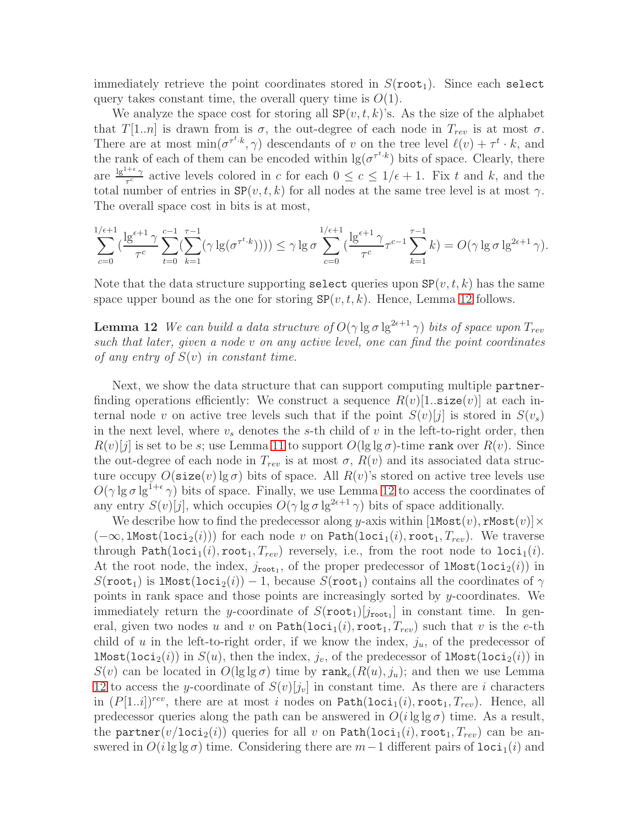immediately retrieve the point coordinates stored in  $S(root_1)$ . Since each select query takes constant time, the overall query time is  $O(1)$ .

We analyze the space cost for storing all  $SP(v, t, k)$ 's. As the size of the alphabet that  $T[1..n]$  is drawn from is  $\sigma$ , the out-degree of each node in  $T_{rev}$  is at most  $\sigma$ . There are at most  $\min(\sigma^{\tau^t,k}, \gamma)$  descendants of v on the tree level  $\ell(v) + \tau^t \cdot k$ , and the rank of each of them can be encoded within  $\lg(\sigma^{\tau^t \cdot k})$  bits of space. Clearly, there are  $\frac{\lg^{1+\epsilon}\gamma}{\tau^c}$  active levels colored in c for each  $0 \leq c \leq 1/\epsilon + 1$ . Fix t and k, and the total number of entries in  $SP(v, t, k)$  for all nodes at the same tree level is at most  $\gamma$ . The overall space cost in bits is at most,

$$
\sum_{c=0}^{1/\epsilon+1} \left( \frac{\lg^{\epsilon+1} \gamma}{\tau^c} \sum_{t=0}^{c-1} \left( \sum_{k=1}^{\tau-1} (\gamma \lg(\sigma^{\tau^t \cdot k}))) \right) \leq \gamma \lg \sigma \sum_{c=0}^{1/\epsilon+1} \left( \frac{\lg^{\epsilon+1} \gamma}{\tau^c} \tau^{c-1} \sum_{k=1}^{\tau-1} k \right) = O(\gamma \lg \sigma \lg^{2\epsilon+1} \gamma).
$$

<span id="page-11-0"></span>Note that the data structure supporting select queries upon  $\mathbb{SP}(v, t, k)$  has the same space upper bound as the one for storing  $SP(v, t, k)$ . Hence, Lemma [12](#page-11-0) follows.

**Lemma 12** We can build a data structure of  $O(\gamma \lg \sigma \lg^{2\epsilon+1} \gamma)$  bits of space upon  $T_{rev}$ such that later, given a node v on any active level, one can find the point coordinates of any entry of  $S(v)$  in constant time.

Next, we show the data structure that can support computing multiple partnerfinding operations efficiently: We construct a sequence  $R(v)[1]$ . size(v) at each internal node v on active tree levels such that if the point  $S(v)[j]$  is stored in  $S(v_s)$ in the next level, where  $v_s$  denotes the s-th child of v in the left-to-right order, then  $R(v)[j]$  is set to be s; use Lemma [11](#page-9-1) to support  $O(\lg\lg\sigma)$ -time rank over  $R(v)$ . Since the out-degree of each node in  $T_{rev}$  is at most  $\sigma$ ,  $R(v)$  and its associated data structure occupy  $O(\text{size}(v) \lg \sigma)$  bits of space. All  $R(v)$ 's stored on active tree levels use  $O(\gamma \lg \sigma \lg^{1+\epsilon} \gamma)$  bits of space. Finally, we use Lemma [12](#page-11-0) to access the coordinates of any entry  $S(v)[j]$ , which occupies  $O(\gamma \lg \sigma \lg^{2\epsilon+1} \gamma)$  bits of space additionally.

We describe how to find the predecessor along y-axis within  $[\texttt{1Most}(v), \texttt{rMost}(v)] \times$  $(-\infty, 1$ Most $(loci_2(i))$  for each node v on Path $(loci_1(i), root_1, T_{rev})$ . We traverse through Path(loci<sub>1</sub>(i), root<sub>1</sub>,  $T_{rev}$ ) reversely, i.e., from the root node to loci<sub>1</sub>(i). At the root node, the index,  $j_{\text{root}_1}$ , of the proper predecessor of  $\texttt{1Most}(\texttt{loci}_2(i))$  in  $S($ root<sub>1</sub>) is lMost(loci<sub>2</sub>(i)) – 1, because  $S($ root<sub>1</sub>) contains all the coordinates of  $\gamma$ points in rank space and those points are increasingly sorted by y-coordinates. We immediately return the y-coordinate of  $S(\text{root}_1)[j_{\text{root}_1}]$  in constant time. In general, given two nodes u and v on  $Path(loci_1(i), root_1, T_{rev})$  such that v is the e-th child of u in the left-to-right order, if we know the index,  $j_u$ , of the predecessor of  $1$ Most(loci<sub>2</sub>(i)) in  $S(u)$ , then the index,  $j_v$ , of the predecessor of lMost(loci<sub>2</sub>(i)) in  $S(v)$  can be located in  $O(\lg \lg \sigma)$  time by  $\text{rank}_{e}(R(u), j_u)$ ; and then we use Lemma [12](#page-11-0) to access the y-coordinate of  $S(v)[j_v]$  in constant time. As there are i characters in  $(P[1..i])^{rev}$ , there are at most i nodes on Path $(\text{loci}_1(i), \text{root}_1, T_{rev})$ . Hence, all predecessor queries along the path can be answered in  $O(i \lg \lg \sigma)$  time. As a result, the partner(v/loci<sub>2</sub>(i)) queries for all v on Path(loci<sub>1</sub>(i), root<sub>1</sub>,  $T_{rev}$ ) can be answered in  $O(i \lg \lg \sigma)$  time. Considering there are  $m-1$  different pairs of  $loci<sub>1</sub>(i)$  and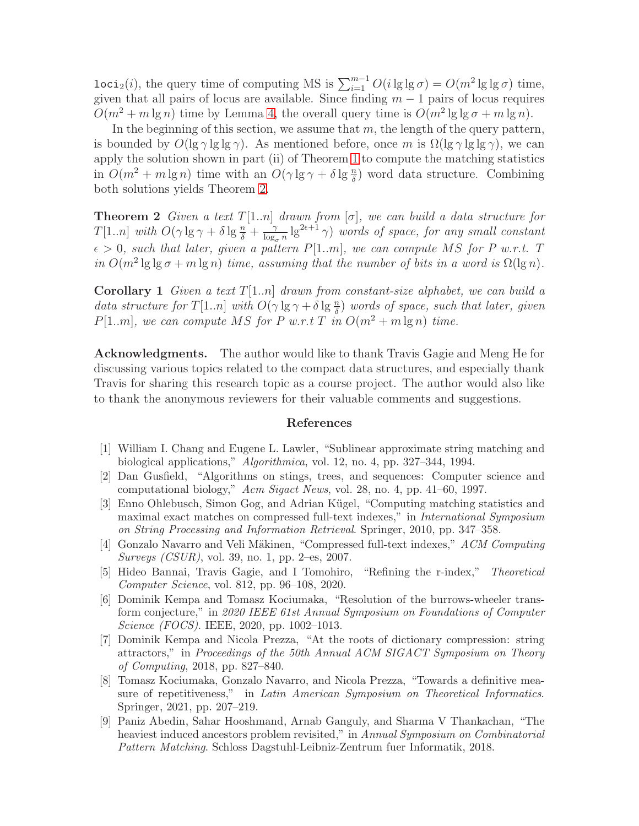loci<sub>2</sub>(*i*), the query time of computing MS is  $\sum_{i=1}^{m-1} O(i \lg \lg \sigma) = O(m^2 \lg \lg \sigma)$  time, given that all pairs of locus are available. Since finding  $m - 1$  pairs of locus requires  $O(m^2 + m \lg n)$  time by Lemma [4,](#page-3-2) the overall query time is  $O(m^2 \lg \lg \sigma + m \lg n)$ .

In the beginning of this section, we assume that  $m$ , the length of the query pattern, is bounded by  $O(\lg \gamma \lg \lg \gamma)$ . As mentioned before, once m is  $\Omega(\lg \gamma \lg \lg \gamma)$ , we can apply the solution shown in part (ii) of Theorem [1](#page-1-0) to compute the matching statistics in  $O(m^2 + m \lg n)$  time with an  $O(\gamma \lg \gamma + \delta \lg \frac{n}{\delta})$  word data structure. Combining both solutions yields Theorem [2.](#page-12-9)

<span id="page-12-9"></span>**Theorem 2** Given a text  $T[1..n]$  drawn from  $[\sigma]$ , we can build a data structure for  $T[1..n]$  with  $O(\gamma \lg \gamma + \delta \lg \frac{n}{\delta} + \frac{\gamma}{\log \gamma})$  $\frac{\gamma}{\log_{\sigma} n} \lg^{2\epsilon + 1} \gamma$ ) words of space, for any small constant  $\epsilon > 0$ , such that later, given a pattern P[1..m], we can compute MS for P w.r.t. T in  $O(m^2 \lg \log \sigma + m \lg n)$  time, assuming that the number of bits in a word is  $\Omega(\lg n)$ .

**Corollary 1** Given a text  $T[1..n]$  drawn from constant-size alphabet, we can build a data structure for  $T[1..n]$  with  $O(\gamma \lg \gamma + \delta \lg \frac{n}{\delta})$  words of space, such that later, given  $P[1..m]$ , we can compute MS for P w.r.t T in  $O(m^2 + m \lg n)$  time.

Acknowledgments. The author would like to thank Travis Gagie and Meng He for discussing various topics related to the compact data structures, and especially thank Travis for sharing this research topic as a course project. The author would also like to thank the anonymous reviewers for their valuable comments and suggestions.

### References

- <span id="page-12-1"></span><span id="page-12-0"></span>[1] William I. Chang and Eugene L. Lawler, "Sublinear approximate string matching and biological applications," *Algorithmica*, vol. 12, no. 4, pp. 327–344, 1994.
- <span id="page-12-2"></span>[2] Dan Gusfield, "Algorithms on stings, trees, and sequences: Computer science and computational biology," *Acm Sigact News*, vol. 28, no. 4, pp. 41–60, 1997.
- [3] Enno Ohlebusch, Simon Gog, and Adrian Kügel, "Computing matching statistics and maximal exact matches on compressed full-text indexes," in *International Symposium on String Processing and Information Retrieval*. Springer, 2010, pp. 347–358.
- <span id="page-12-4"></span><span id="page-12-3"></span>[4] Gonzalo Navarro and Veli Mäkinen, "Compressed full-text indexes," ACM Computing *Surveys (CSUR)*, vol. 39, no. 1, pp. 2–es, 2007.
- <span id="page-12-5"></span>[5] Hideo Bannai, Travis Gagie, and I Tomohiro, "Refining the r-index," *Theoretical Computer Science*, vol. 812, pp. 96–108, 2020.
- [6] Dominik Kempa and Tomasz Kociumaka, "Resolution of the burrows-wheeler transform conjecture," in *2020 IEEE 61st Annual Symposium on Foundations of Computer Science (FOCS)*. IEEE, 2020, pp. 1002–1013.
- <span id="page-12-6"></span>[7] Dominik Kempa and Nicola Prezza, "At the roots of dictionary compression: string attractors," in *Proceedings of the 50th Annual ACM SIGACT Symposium on Theory of Computing*, 2018, pp. 827–840.
- <span id="page-12-7"></span>[8] Tomasz Kociumaka, Gonzalo Navarro, and Nicola Prezza, "Towards a definitive measure of repetitiveness," in *Latin American Symposium on Theoretical Informatics*. Springer, 2021, pp. 207–219.
- <span id="page-12-8"></span>[9] Paniz Abedin, Sahar Hooshmand, Arnab Ganguly, and Sharma V Thankachan, "The heaviest induced ancestors problem revisited," in *Annual Symposium on Combinatorial Pattern Matching*. Schloss Dagstuhl-Leibniz-Zentrum fuer Informatik, 2018.